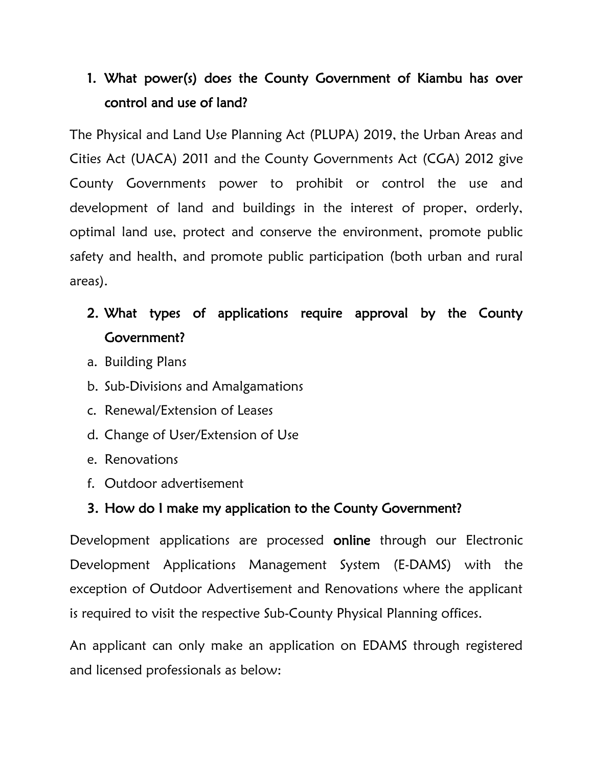## 1. What power(s) does the County Government of Kiambu has over control and use of land?

The Physical and Land Use Planning Act (PLUPA) 2019, the Urban Areas and Cities Act (UACA) 2011 and the County Governments Act (CGA) 2012 give County Governments power to prohibit or control the use and development of land and buildings in the interest of proper, orderly, optimal land use, protect and conserve the environment, promote public safety and health, and promote public participation (both urban and rural areas).

### 2. What types of applications require approval by the County Government?

- a. Building Plans
- b. Sub-Divisions and Amalgamations
- c. Renewal/Extension of Leases
- d. Change of User/Extension of Use
- e. Renovations
- f. Outdoor advertisement

### 3. How do I make my application to the County Government?

Development applications are processed online through our Electronic Development Applications Management System (E-DAMS) with the exception of Outdoor Advertisement and Renovations where the applicant is required to visit the respective Sub-County Physical Planning offices.

An applicant can only make an application on EDAMS through registered and licensed professionals as below: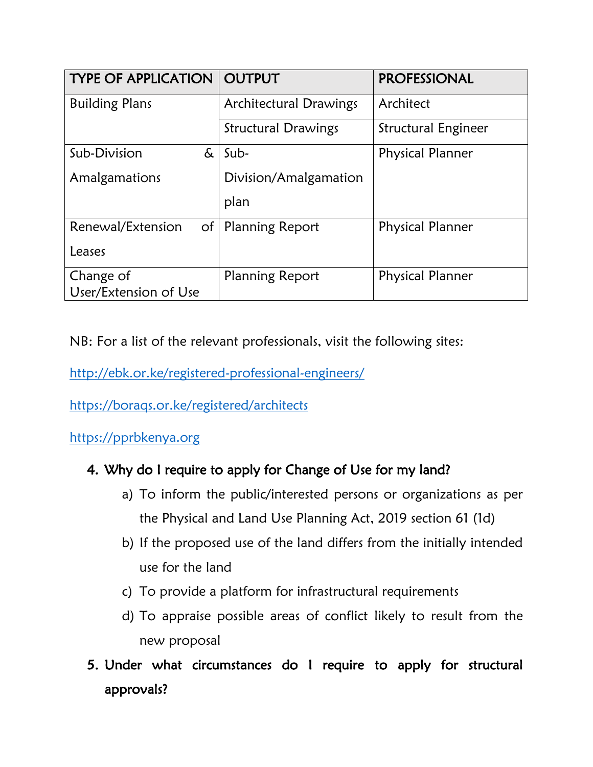| <b>TYPE OF APPLICATION   OUTPUT</b> |                               | <b>PROFESSIONAL</b>     |
|-------------------------------------|-------------------------------|-------------------------|
| <b>Building Plans</b>               | <b>Architectural Drawings</b> | Architect               |
|                                     | <b>Structural Drawings</b>    | Structural Engineer     |
| Sub-Division<br>&                   | Sub-                          | <b>Physical Planner</b> |
| Amalgamations                       | Division/Amalgamation         |                         |
|                                     | plan                          |                         |
| Renewal/Extension                   | of   Planning Report          | <b>Physical Planner</b> |
| Leases                              |                               |                         |
| Change of                           | <b>Planning Report</b>        | <b>Physical Planner</b> |
| User/Extension of Use               |                               |                         |

NB: For a list of the relevant professionals, visit the following sites:

<http://ebk.or.ke/registered-professional-engineers/>

<https://boraqs.or.ke/registered/architects>

[https://pprbkenya.org](https://pprbkenya.org/)

#### 4. Why do I require to apply for Change of Use for my land?

- a) To inform the public/interested persons or organizations as per the Physical and Land Use Planning Act, 2019 section 61 (1d)
- b) If the proposed use of the land differs from the initially intended use for the land
- c) To provide a platform for infrastructural requirements
- d) To appraise possible areas of conflict likely to result from the new proposal
- 5. Under what circumstances do I require to apply for structural approvals?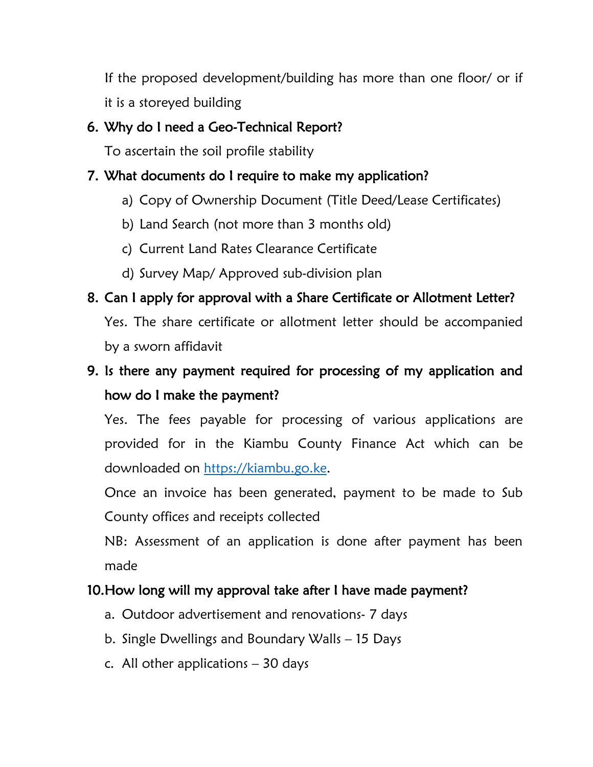If the proposed development/building has more than one floor/ or if it is a storeyed building

#### 6. Why do I need a Geo-Technical Report?

To ascertain the soil profile stability

#### 7. What documents do I require to make my application?

- a) Copy of Ownership Document (Title Deed/Lease Certificates)
- b) Land Search (not more than 3 months old)
- c) Current Land Rates Clearance Certificate
- d) Survey Map/ Approved sub-division plan

### 8. Can I apply for approval with a Share Certificate or Allotment Letter?

Yes. The share certificate or allotment letter should be accompanied by a sworn affidavit

## 9. Is there any payment required for processing of my application and how do I make the payment?

Yes. The fees payable for processing of various applications are provided for in the Kiambu County Finance Act which can be downloaded on [https://kiambu.go.ke.](https://kiambu.go.ke/)

Once an invoice has been generated, payment to be made to Sub County offices and receipts collected

NB: Assessment of an application is done after payment has been made

#### 10.How long will my approval take after I have made payment?

- a. Outdoor advertisement and renovations- 7 days
- b. Single Dwellings and Boundary Walls 15 Days
- c. All other applications  $-30$  days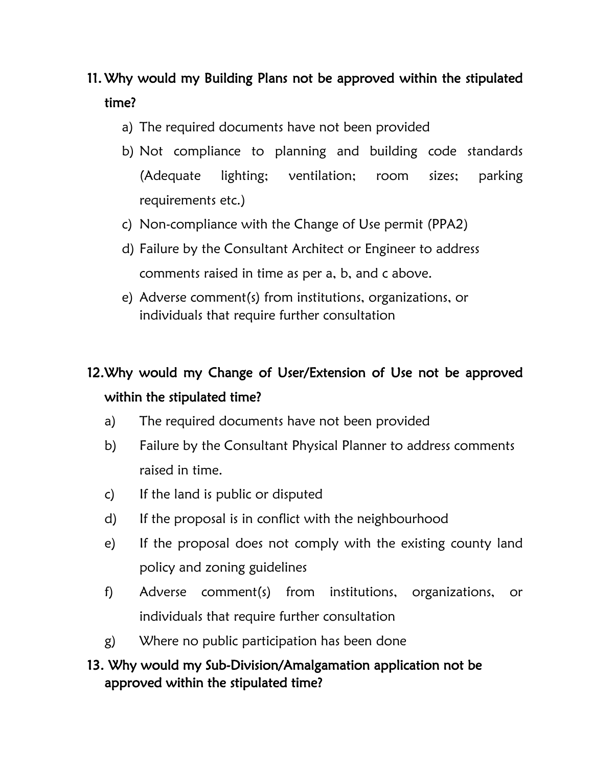## 11. Why would my Building Plans not be approved within the stipulated time?

- a) The required documents have not been provided
- b) Not compliance to planning and building code standards (Adequate lighting; ventilation; room sizes; parking requirements etc.)
- c) Non-compliance with the Change of Use permit (PPA2)
- d) Failure by the Consultant Architect or Engineer to address comments raised in time as per a, b, and c above.
- e) Adverse comment(s) from institutions, organizations, or individuals that require further consultation

# 12.Why would my Change of User/Extension of Use not be approved within the stipulated time?

- a) The required documents have not been provided
- b) Failure by the Consultant Physical Planner to address comments raised in time.
- c) If the land is public or disputed
- d) If the proposal is in conflict with the neighbourhood
- e) If the proposal does not comply with the existing county land policy and zoning guidelines
- f) Adverse comment(s) from institutions, organizations, or individuals that require further consultation
- g) Where no public participation has been done

#### 13. Why would my Sub-Division/Amalgamation application not be approved within the stipulated time?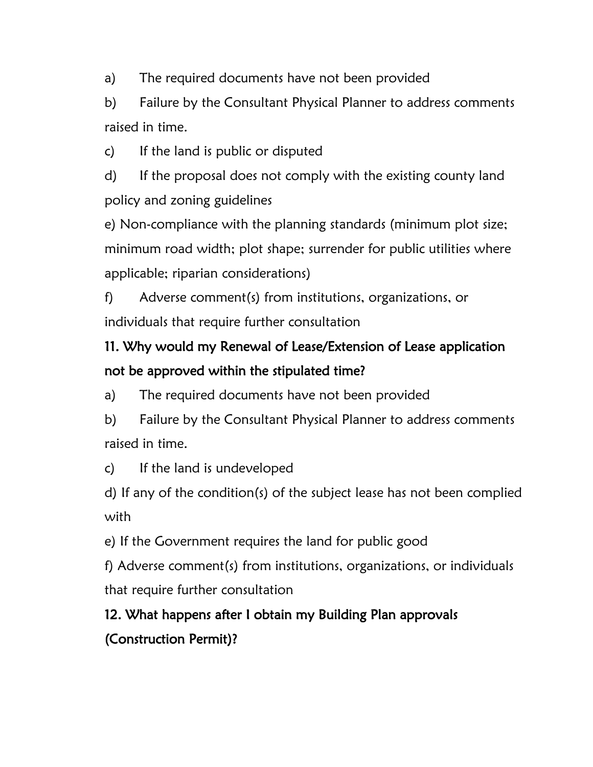a) The required documents have not been provided

b) Failure by the Consultant Physical Planner to address comments raised in time.

c) If the land is public or disputed

d) If the proposal does not comply with the existing county land policy and zoning guidelines

e) Non-compliance with the planning standards (minimum plot size; minimum road width; plot shape; surrender for public utilities where applicable; riparian considerations)

f) Adverse comment(s) from institutions, organizations, or individuals that require further consultation

## 11. Why would my Renewal of Lease/Extension of Lease application not be approved within the stipulated time?

a) The required documents have not been provided

b) Failure by the Consultant Physical Planner to address comments raised in time.

c) If the land is undeveloped

d) If any of the condition(s) of the subject lease has not been complied with

e) If the Government requires the land for public good

f) Adverse comment(s) from institutions, organizations, or individuals that require further consultation

# 12. What happens after I obtain my Building Plan approvals (Construction Permit)?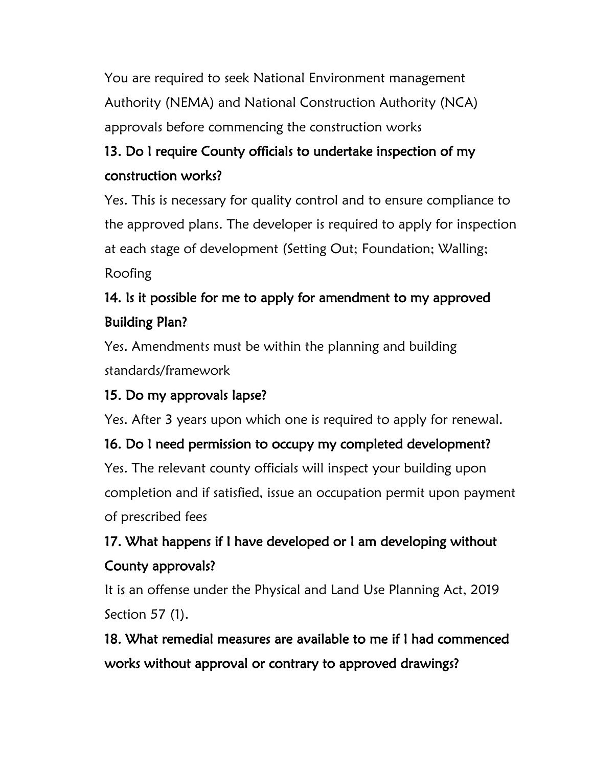You are required to seek National Environment management Authority (NEMA) and National Construction Authority (NCA) approvals before commencing the construction works

## 13. Do I require County officials to undertake inspection of my construction works?

Yes. This is necessary for quality control and to ensure compliance to the approved plans. The developer is required to apply for inspection at each stage of development (Setting Out; Foundation; Walling; Roofing

## 14. Is it possible for me to apply for amendment to my approved Building Plan?

Yes. Amendments must be within the planning and building standards/framework

### 15. Do my approvals lapse?

Yes. After 3 years upon which one is required to apply for renewal.

### 16. Do I need permission to occupy my completed development?

Yes. The relevant county officials will inspect your building upon completion and if satisfied, issue an occupation permit upon payment of prescribed fees

# 17. What happens if I have developed or I am developing without County approvals?

It is an offense under the Physical and Land Use Planning Act, 2019 Section 57 (1).

18. What remedial measures are available to me if I had commenced works without approval or contrary to approved drawings?